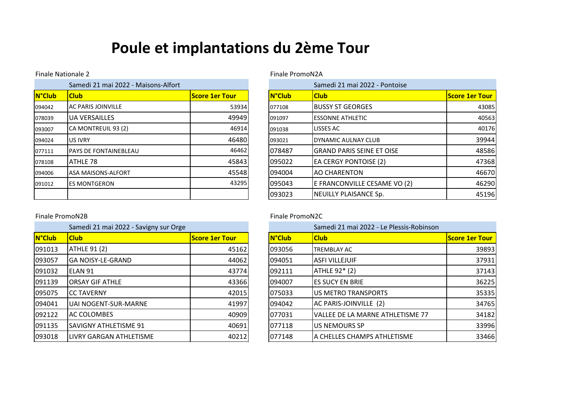# **Poule et implantations du 2ème Tour**

### Finale Nationale 2 Finale PromoN2A

|               | Samedi 21 mai 2022 - Maisons-Alfort | Samedi 21 mai 2022 - Pontoise |               |                                  |
|---------------|-------------------------------------|-------------------------------|---------------|----------------------------------|
| <b>N°Club</b> | <b>Club</b>                         | <b>Score 1er Tour</b>         | <b>N°Club</b> | <b>Club</b>                      |
| 094042        | <b>JAC PARIS JOINVILLE</b>          | 53934                         | 077108        | <b>BUSSY ST GEORGES</b>          |
| 078039        | <b>UA VERSAILLES</b>                | 49949                         | 091097        | <b>I</b> ESSONNE ATHLETIC        |
| 093007        | CA MONTREUIL 93 (2)                 | 46914                         | 091038        | LISSES AC                        |
| 094024        | <b>US IVRY</b>                      | 46480                         | 093021        | IDYNAMIC AULNAY CLUB             |
| 077111        | <b>IPAYS DE FONTAINEBLEAU</b>       | 46462                         | 078487        | <b>GRAND PARIS SEINE ET OISE</b> |
| 078108        | ATHLE 78                            | 45843                         | 095022        | <b>EA CERGY PONTOISE (2)</b>     |
| 094006        | <b>JASA MAISONS-ALFORT</b>          | 45548                         | 094004        | <b>AO CHARENTON</b>              |
| 091012        | <b>ES MONTGERON</b>                 | 43295                         | 095043        | E FRANCONVILLE CESAME VO (       |
|               |                                     |                               | 093023        | NEUILLY PLAISANCE Sp.            |

|               | Samedi 21 mai 2022 - Maisons-Alfort |                       |               | Samedi 21 mai 2022 - Pontoise    |                       |
|---------------|-------------------------------------|-----------------------|---------------|----------------------------------|-----------------------|
| <b>N°Club</b> | <b>Club</b>                         | <b>Score 1er Tour</b> | <b>N°Club</b> | <b>Club</b>                      | <b>Score 1er Tour</b> |
| 094042        | <b>AC PARIS JOINVILLE</b>           | 53934                 | 077108        | <b>BUSSY ST GEORGES</b>          |                       |
| 078039        | <b>UA VERSAILLES</b>                | 49949                 | 091097        | <b>IESSONNE ATHLETIC</b>         |                       |
| 093007        | CA MONTREUIL 93 (2)                 | 46914                 | 091038        | LISSES AC                        |                       |
| 094024        | <b>US IVRY</b>                      | 46480                 | 093021        | IDYNAMIC AULNAY CLUB             |                       |
| 077111        | <b>IPAYS DE FONTAINEBLEAU</b>       | 46462                 | 078487        | <b>GRAND PARIS SEINE ET OISE</b> |                       |
| 078108        | <b>ATHLE 78</b>                     | 45843                 | 095022        | EA CERGY PONTOISE (2)            |                       |
| 094006        | <b>ASA MAISONS-ALFORT</b>           | 45548                 | 094004        | <b>AO CHARENTON</b>              |                       |
| 091012        | <b>IES MONTGERON</b>                | 43295                 | 095043        | E FRANCONVILLE CESAME VO (2)     |                       |
|               |                                     |                       | 093023        | NEUILLY PLAISANCE Sp.            |                       |

### Finale PromoN2B Finale PromoN2C

|               | Samedi 21 mai 2022 - Savigny sur Orge |                        |               | Samedi 21 mai 2022 - Le Plessis-Robinson |
|---------------|---------------------------------------|------------------------|---------------|------------------------------------------|
| <b>N°Club</b> | <b>Club</b>                           | <u>lScore 1er Tour</u> | <b>N°Club</b> | <b>Club</b>                              |
| 091013        | <b>ATHLE 91 (2)</b>                   | 45162                  | 093056        | <b>TREMBLAY AC</b>                       |
| 093057        | <b>I</b> GA NOISY-LE-GRAND            | 44062                  | 094051        | IASFI VILLEJUIF                          |
| 091032        | ELAN 91                               | 43774                  | 092111        | ATHLE 92* (2)                            |
| 091139        | <b>ORSAY GIF ATHLE</b>                | 43366                  | 094007        | IES SUCY EN BRIE                         |
| 095075        | <b>ICC TAVERNY</b>                    | 42015                  | 075033        | <b>US METRO TRANSPORTS</b>               |
| 094041        | <b>UAI NOGENT-SUR-MARNE</b>           | 41997                  | 094042        | AC PARIS-JOINVILLE (2)                   |
| 092122        | <b>AC COLOMBES</b>                    | 40909                  | 077031        | VALLEE DE LA MARNE ATHLETISME 77         |
| 091135        | <b>SAVIGNY ATHLETISME 91</b>          | 40691                  | 077118        | <b>US NEMOURS SP</b>                     |
| 093018        | LIVRY GARGAN ATHLETISME               | 402121                 | 077148        | A CHELLES CHAMPS ATHLETISME              |

|               | Samedi 21 mai 2022 - Savigny sur Orge |                       |        | Samedi 21 mai 2022 - Le Plessis-Robinson |                       |
|---------------|---------------------------------------|-----------------------|--------|------------------------------------------|-----------------------|
| <b>N°Club</b> | <b>Club</b>                           | <b>Score 1er Tour</b> | N°Club | <b>Club</b>                              | <b>Score 1er Tour</b> |
| 091013        | <b>ATHLE 91 (2)</b>                   | 45162                 | 093056 | <b>TREMBLAY AC</b>                       | 39893                 |
| 093057        | <b>I</b> GA NOISY-LE-GRAND            | 44062                 | 094051 | <b>ASFI VILLEJUIF</b>                    | 37931                 |
| 091032        | ELAN 91                               | 43774                 | 092111 | <b>ATHLE 92* (2)</b>                     |                       |
| 091139        | <b>ORSAY GIF ATHLE</b>                | 43366                 | 094007 | <b>IES SUCY EN BRIE</b>                  | 36225                 |
| 095075        | <b>ICC TAVERNY</b>                    | 42015                 | 075033 | <b>US METRO TRANSPORTS</b>               | 35335                 |
| 094041        | UAI NOGENT-SUR-MARNE                  | 41997                 | 094042 | AC PARIS-JOINVILLE (2)                   | 34765                 |
| 092122        | <b>AC COLOMBES</b>                    | 40909                 | 077031 | VALLEE DE LA MARNE ATHLETISME 77         | 34182                 |
| 091135        | <b>SAVIGNY ATHLETISME 91</b>          | 40691                 | 077118 | <b>US NEMOURS SP</b>                     | 33996                 |
| 093018        | LIVRY GARGAN ATHLETISME               | 40212                 | 077148 | JA CHELLES CHAMPS ATHLETISME             | 33466                 |